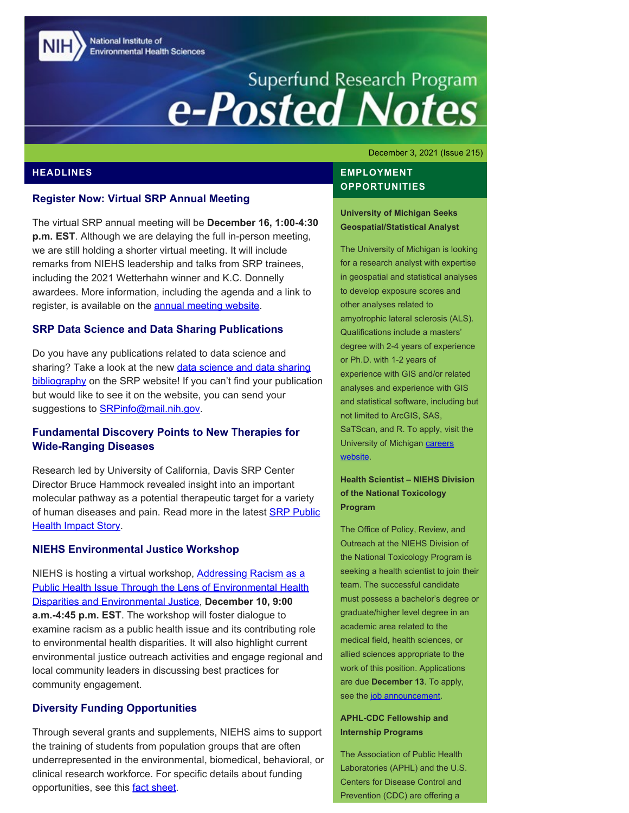National Institute of **Environmental Health Sciences** 

# Superfund Research Program<br> **e-Posted Notes**

December 3, 2021 (Issue 215)

## **HEADLINES**

## **Register Now: Virtual SRP Annual Meeting**

The virtual SRP annual meeting will be **December 16, 1:00-4:30 p.m. EST**. Although we are delaying the full in-person meeting, we are still holding a shorter virtual meeting. It will include remarks from NIEHS leadership and talks from SRP trainees, including the 2021 Wetterhahn winner and K.C. Donnelly awardees. More information, including the agenda and a link to register, is available on the **annual meeting website**.

## **SRP Data Science and Data Sharing Publications**

Do you have any publications related to data science and sharing? Take a look at the new [data science and data sharing](https://www.niehs.nih.gov/research/supported/centers/srp/datasets/srp_data_sharing/index.cfm) [bibliography](https://www.niehs.nih.gov/research/supported/centers/srp/datasets/srp_data_sharing/index.cfm) on the SRP website! If you can't find your publication but would like to see it on the website, you can send your suggestions to **SRPinfo@mail.nih.gov.** 

# **Fundamental Discovery Points to New Therapies for Wide-Ranging Diseases**

Research led by University of California, Davis SRP Center Director Bruce Hammock revealed insight into an important molecular pathway as a potential therapeutic target for a variety of human diseases and pain. Read more in the latest **SRP Public [Health Impact Story.](https://www.niehs.nih.gov/research/supported/centers/srp/phi/archives/advances/hammock/index.cfm)** 

## **NIEHS Environmental Justice Workshop**

NIEHS is hosting a virtual workshop, [Addressing Racism as a](https://tools.niehs.nih.gov/conference/ejworkshop2021/) [Public Health Issue Through the Lens of Environmental Health](https://tools.niehs.nih.gov/conference/ejworkshop2021/) [Disparities and Environmental Justice](https://tools.niehs.nih.gov/conference/ejworkshop2021/), **December 10, 9:00 a.m.-4:45 p.m. EST**. The workshop will foster dialogue to examine racism as a public health issue and its contributing role to environmental health disparities. It will also highlight current environmental justice outreach activities and engage regional and local community leaders in discussing best practices for community engagement.

# **Diversity Funding Opportunities**

Through several grants and supplements, NIEHS aims to support the training of students from population groups that are often underrepresented in the environmental, biomedical, behavioral, or clinical research workforce. For specific details about funding opportunities, see this **fact sheet**.

# **EMPLOYMENT OPPORTUNITIES**

## **University of Michigan Seeks Geospatial/Statistical Analyst**

The University of Michigan is looking for a research analyst with expertise in geospatial and statistical analyses to develop exposure scores and other analyses related to amyotrophic lateral sclerosis (ALS). Qualifications include a masters' degree with 2-4 years of experience or Ph.D. with 1-2 years of experience with GIS and/or related analyses and experience with GIS and statistical software, including but not limited to ArcGIS, SAS, SaTScan, and R. To apply, visit the University of Michigan [careers](https://careers.umich.edu/job_detail/206997/research-analyst) [website.](https://careers.umich.edu/job_detail/206997/research-analyst)

## **Health Scientist – NIEHS Division of the National Toxicology Program**

The Office of Policy, Review, and Outreach at the NIEHS Division of the National Toxicology Program is seeking a health scientist to join their team. The successful candidate must possess a bachelor's degree or graduate/higher level degree in an academic area related to the medical field, health sciences, or allied sciences appropriate to the work of this position. Applications are due **December 13**. To apply, see the [job announcement.](https://www.usajobs.gov/GetJob/ViewDetails/622903000)

## **APHL-CDC Fellowship and Internship Programs**

The Association of Public Health Laboratories (APHL) and the U.S. Centers for Disease Control and Prevention (CDC) are offering a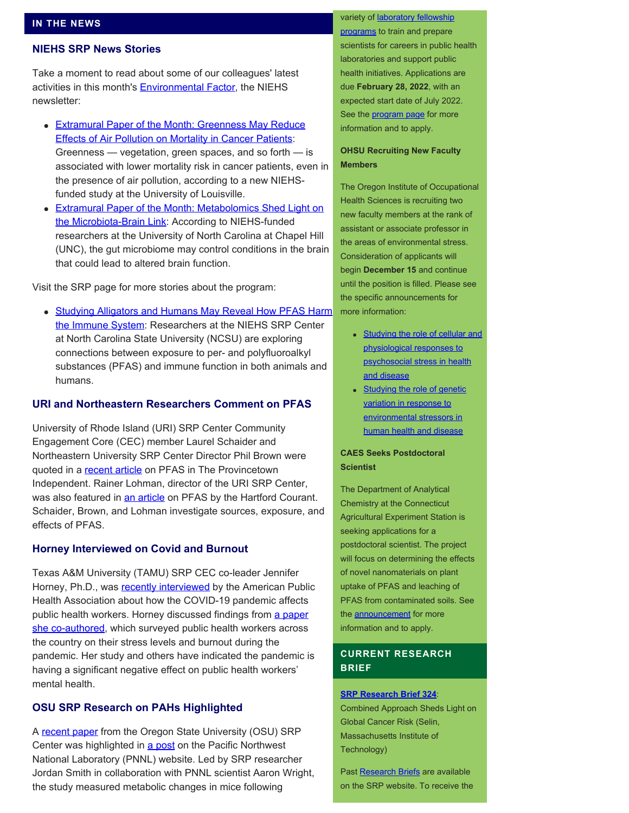# **NIEHS SRP News Stories**

Take a moment to read about some of our colleagues' latest activities in this month's **Environmental Factor**, the NIEHS newsletter:

- **[Extramural Paper of the Month: Greenness May Reduce](https://factor.niehs.nih.gov/2021/12/papers/dert/index.htm#a2)** [Effects of Air Pollution on Mortality in Cancer Patients](https://factor.niehs.nih.gov/2021/12/papers/dert/index.htm#a2): Greenness — vegetation, green spaces, and so forth — is associated with lower mortality risk in cancer patients, even in the presence of air pollution, according to a new NIEHSfunded study at the University of Louisville.
- **[Extramural Paper of the Month: Metabolomics Shed Light on](https://factor.niehs.nih.gov/2021/12/papers/dert/index.htm#a4)** [the Microbiota-Brain Link](https://factor.niehs.nih.gov/2021/12/papers/dert/index.htm#a4): According to NIEHS-funded researchers at the University of North Carolina at Chapel Hill (UNC), the gut microbiome may control conditions in the brain that could lead to altered brain function.

Visit the SRP page for more stories about the program:

• [Studying Alligators and Humans May Reveal How PFAS Harm](https://www.niehs.nih.gov/research/supported/centers/srp/news/2021news/alligators/index.cfm) [the Immune System](https://www.niehs.nih.gov/research/supported/centers/srp/news/2021news/alligators/index.cfm): Researchers at the NIEHS SRP Center at North Carolina State University (NCSU) are exploring connections between exposure to per- and polyfluoroalkyl substances (PFAS) and immune function in both animals and humans.

# **URI and Northeastern Researchers Comment on PFAS**

University of Rhode Island (URI) SRP Center Community Engagement Core (CEC) member Laurel Schaider and Northeastern University SRP Center Director Phil Brown were quoted in a [recent article](https://provincetownindependent.org/news/2021/08/04/pfas-testing-of-wells-in-truro-and-wellfleet-set-to-begin/) on PFAS in The Provincetown Independent. Rainer Lohman, director of the URI SRP Center, was also featured in [an article](https://www.courant.com/politics/hc-pol-connecticut-pfas-chemicals-20210907-ucjupsdfcrd2rgfugjc4lijuiy-story.html) on PFAS by the Hartford Courant. Schaider, Brown, and Lohman investigate sources, exposure, and effects of PFAS.

# **Horney Interviewed on Covid and Burnout**

Texas A&M University (TAMU) SRP CEC co-leader Jennifer Horney, Ph.D., was [recently interviewed](https://www.thenationshealth.org/content/51/7/1.1) by the American Public Health Association about how the COVID-19 pandemic affects public health workers. Horney discussed findings from [a paper](https://pubmed.ncbi.nlm.nih.gov/33924084/) [she co-authored,](https://pubmed.ncbi.nlm.nih.gov/33924084/) which surveyed public health workers across the country on their stress levels and burnout during the pandemic. Her study and others have indicated the pandemic is having a significant negative effect on public health workers' mental health.

# **OSU SRP Research on PAHs Highlighted**

A [recent paper](https://pubs.acs.org/doi/10.1021/acs.chemrestox.1c00235) from the Oregon State University (OSU) SRP Center was highlighted in [a post](https://www.pnnl.gov/publications/combining-metabolic-activity-rates-and-exposure-refine-risk-environmental-hazards) on the Pacific Northwest National Laboratory (PNNL) website. Led by SRP researcher Jordan Smith in collaboration with PNNL scientist Aaron Wright, the study measured metabolic changes in mice following

#### variety of [laboratory fellowship](https://www.aphl.org/fellowships/Documents/APHL-Fellowships-Overview-Flyer.pdf)

[programs](https://www.aphl.org/fellowships/Documents/APHL-Fellowships-Overview-Flyer.pdf) to train and prepare scientists for careers in public health laboratories and support public health initiatives. Applications are due **February 28, 2022**, with an expected start date of July 2022. See the [program page](http://www.aphl.org/Fellowships) for more information and to apply.

## **OHSU Recruiting New Faculty Members**

The Oregon Institute of Occupational Health Sciences is recruiting two new faculty members at the rank of assistant or associate professor in the areas of environmental stress. Consideration of applicants will begin **December 15** and continue until the position is filled. Please see the specific announcements for more information:

- [Studying the role of cellular and](https://externalcareers-ohsu.icims.com/jobs/12634/assistant-or-associate-professor-%28faculty%29/job?hub=6&mobile=false&width=595&height=500&bga=true&needsRedirect=false&jan1offset=-300&jun1offset=-240) [physiological responses to](https://externalcareers-ohsu.icims.com/jobs/12634/assistant-or-associate-professor-%28faculty%29/job?hub=6&mobile=false&width=595&height=500&bga=true&needsRedirect=false&jan1offset=-300&jun1offset=-240) [psychosocial stress in health](https://externalcareers-ohsu.icims.com/jobs/12634/assistant-or-associate-professor-%28faculty%29/job?hub=6&mobile=false&width=595&height=500&bga=true&needsRedirect=false&jan1offset=-300&jun1offset=-240) [and disease](https://externalcareers-ohsu.icims.com/jobs/12634/assistant-or-associate-professor-%28faculty%29/job?hub=6&mobile=false&width=595&height=500&bga=true&needsRedirect=false&jan1offset=-300&jun1offset=-240)
- **[Studying the role of genetic](https://externalcareers-ohsu.icims.com/jobs/12632/assistant-or-associate-professor-%28faculty%29/job?hub=6&mobile=false&width=1252&height=500&bga=true&needsRedirect=false&jan1offset=-300&jun1offset=-240)** [variation in response to](https://externalcareers-ohsu.icims.com/jobs/12632/assistant-or-associate-professor-%28faculty%29/job?hub=6&mobile=false&width=1252&height=500&bga=true&needsRedirect=false&jan1offset=-300&jun1offset=-240) [environmental stressors in](https://externalcareers-ohsu.icims.com/jobs/12632/assistant-or-associate-professor-%28faculty%29/job?hub=6&mobile=false&width=1252&height=500&bga=true&needsRedirect=false&jan1offset=-300&jun1offset=-240) [human health and disease](https://externalcareers-ohsu.icims.com/jobs/12632/assistant-or-associate-professor-%28faculty%29/job?hub=6&mobile=false&width=1252&height=500&bga=true&needsRedirect=false&jan1offset=-300&jun1offset=-240)

## **CAES Seeks Postdoctoral Scientist**

The Department of Analytical Chemistry at the Connecticut Agricultural Experiment Station is seeking applications for a postdoctoral scientist. The project will focus on determining the effects of novel nanomaterials on plant uptake of PFAS and leaching of PFAS from contaminated soils. See the **announcement** for more information and to apply.

# **CURRENT RESEARCH BRIEF**

## **[SRP Research Brief 324](https://tools.niehs.nih.gov/srp/researchbriefs/view.cfm?Brief_ID=324)**:

Combined Approach Sheds Light on Global Cancer Risk (Selin, Massachusetts Institute of Technology)

Past [Research Briefs](http://tools.niehs.nih.gov/srp/researchbriefs/index.cfm) are available on the SRP website. To receive the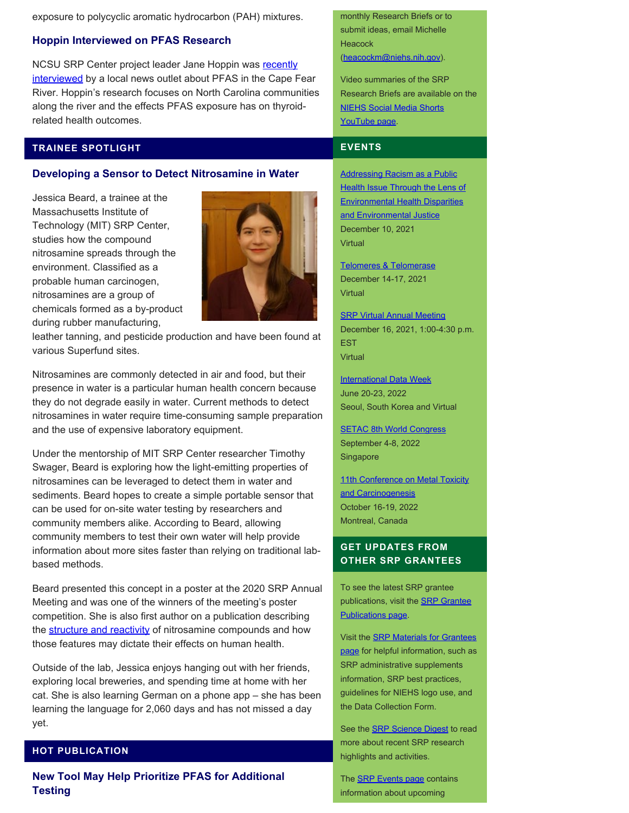exposure to polycyclic aromatic hydrocarbon (PAH) mixtures.

# **Hoppin Interviewed on PFAS Research**

NCSU SRP Center project leader Jane Hoppin was [recently](https://www.cbs17.com/news/local-news/researchers-focus-in-on-impact-of-genx-other-forever-chemicals-in-pittsboro/) [interviewed](https://www.cbs17.com/news/local-news/researchers-focus-in-on-impact-of-genx-other-forever-chemicals-in-pittsboro/) by a local news outlet about PFAS in the Cape Fear River. Hoppin's research focuses on North Carolina communities along the river and the effects PFAS exposure has on thyroidrelated health outcomes.

# **TRAINEE SPOTLIGHT**

# **Developing a Sensor to Detect Nitrosamine in Water**

Jessica Beard, a trainee at the Massachusetts Institute of Technology (MIT) SRP Center, studies how the compound nitrosamine spreads through the environment. Classified as a probable human carcinogen, nitrosamines are a group of chemicals formed as a by-product during rubber manufacturing,



leather tanning, and pesticide production and have been found at various Superfund sites.

Nitrosamines are commonly detected in air and food, but their presence in water is a particular human health concern because they do not degrade easily in water. Current methods to detect nitrosamines in water require time-consuming sample preparation and the use of expensive laboratory equipment.

Under the mentorship of MIT SRP Center researcher Timothy Swager, Beard is exploring how the light-emitting properties of nitrosamines can be leveraged to detect them in water and sediments. Beard hopes to create a simple portable sensor that can be used for on-site water testing by researchers and community members alike. According to Beard, allowing community members to test their own water will help provide information about more sites faster than relying on traditional labbased methods.

Beard presented this concept in a poster at the 2020 SRP Annual Meeting and was one of the winners of the meeting's poster competition. She is also first author on a publication describing the [structure and reactivity](https://pubs.acs.org/doi/full/10.1021/acs.joc.0c02774) of nitrosamine compounds and how those features may dictate their effects on human health.

Outside of the lab, Jessica enjoys hanging out with her friends, exploring local breweries, and spending time at home with her cat. She is also learning German on a phone app – she has been learning the language for 2,060 days and has not missed a day yet.

## **HOT PUBLICATION**

**New Tool May Help Prioritize PFAS for Additional Testing**

monthly Research Briefs or to submit ideas, email Michelle **Heacock** [\(heacockm@niehs.nih.gov\)](mailto:heacockm@niehs.nih.gov).

Video summaries of the SRP Research Briefs are available on the [NIEHS Social Media Shorts](https://www.youtube.com/playlist?list=PLlo0xQLFI54GlGBHIWb3va3YrKAv16SZ8) [YouTube page.](https://www.youtube.com/playlist?list=PLlo0xQLFI54GlGBHIWb3va3YrKAv16SZ8)

### **EVENTS**

[Addressing Racism as a Public](https://tools.niehs.nih.gov/conference/ejworkshop2021/) **[Health Issue Through the Lens of](https://tools.niehs.nih.gov/conference/ejworkshop2021/)** [Environmental Health Disparities](https://tools.niehs.nih.gov/conference/ejworkshop2021/) [and Environmental Justice](https://tools.niehs.nih.gov/conference/ejworkshop2021/) December 10, 2021 **Virtual** 

[Telomeres & Telomerase](https://meetings.cshl.edu/meetings.aspx?meet=telo&year=21) December 14-17, 2021 **Virtual** 

**[SRP Virtual Annual Meeting](https://www.niehs.nih.gov/research/supported/centers/srp/events/srp_annual_mtgs/2021/index.cfm/)** December 16, 2021, 1:00-4:30 p.m. EST Virtual

**[International Data Week](https://internationaldataweek.org/)** June 20-23, 2022 Seoul, South Korea and Virtual

**[SETAC 8th World Congress](https://singapore.setac.org/)** September 4-8, 2022 Singapore

[11th Conference on Metal Toxicity](https://www.fourwav.es/view/1725/info/) [and Carcinogenesis](https://www.fourwav.es/view/1725/info/) October 16-19, 2022 Montreal, Canada

# **GET UPDATES FROM OTHER SRP GRANTEES**

To see the latest SRP grantee publications, visit the **[SRP Grantee](https://tools.niehs.nih.gov/srp/publications/granteepublications.cfm)** [Publications page.](https://tools.niehs.nih.gov/srp/publications/granteepublications.cfm)

Visit the [SRP Materials for Grantees](https://www.niehs.nih.gov/research/supported/centers/srp/resources/index.cfm) [page](https://www.niehs.nih.gov/research/supported/centers/srp/resources/index.cfm) for helpful information, such as SRP administrative supplements information, SRP best practices, guidelines for NIEHS logo use, and the Data Collection Form.

See the **SRP Science Digest** to read more about recent SRP research highlights and activities.

The **SRP Events page** contains information about upcoming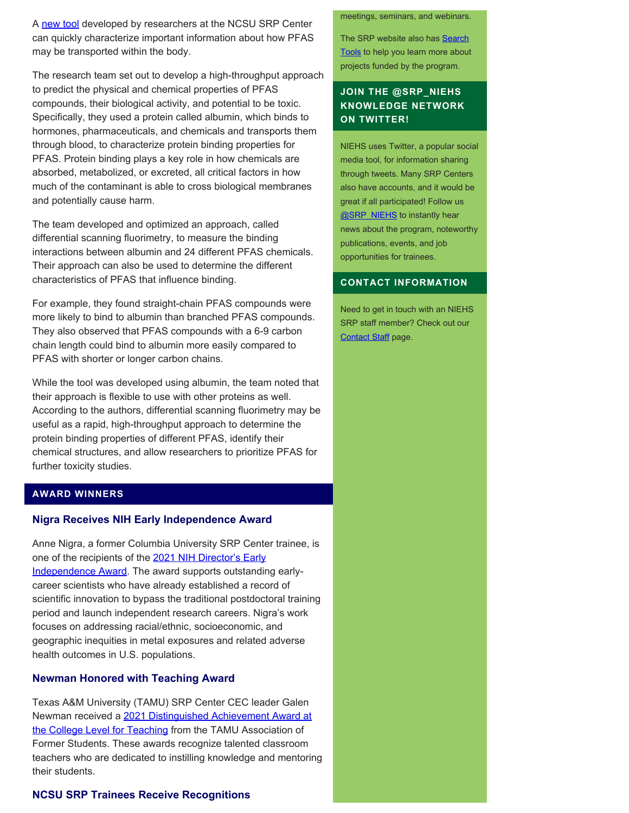A [new tool](https://pubs.acs.org/doi/10.1021/acs.est.1c01200) developed by researchers at the NCSU SRP Center can quickly characterize important information about how PFAS may be transported within the body.

The research team set out to develop a high-throughput approach to predict the physical and chemical properties of PFAS compounds, their biological activity, and potential to be toxic. Specifically, they used a protein called albumin, which binds to hormones, pharmaceuticals, and chemicals and transports them through blood, to characterize protein binding properties for PFAS. Protein binding plays a key role in how chemicals are absorbed, metabolized, or excreted, all critical factors in how much of the contaminant is able to cross biological membranes and potentially cause harm.

The team developed and optimized an approach, called differential scanning fluorimetry, to measure the binding interactions between albumin and 24 different PFAS chemicals. Their approach can also be used to determine the different characteristics of PFAS that influence binding.

For example, they found straight-chain PFAS compounds were more likely to bind to albumin than branched PFAS compounds. They also observed that PFAS compounds with a 6-9 carbon chain length could bind to albumin more easily compared to PFAS with shorter or longer carbon chains.

While the tool was developed using albumin, the team noted that their approach is flexible to use with other proteins as well. According to the authors, differential scanning fluorimetry may be useful as a rapid, high-throughput approach to determine the protein binding properties of different PFAS, identify their chemical structures, and allow researchers to prioritize PFAS for further toxicity studies.

# **AWARD WINNERS**

#### **Nigra Receives NIH Early Independence Award**

Anne Nigra, a former Columbia University SRP Center trainee, is one of the recipients of the [2021 NIH Director's Early](https://commonfund.nih.gov/earlyindependence/awardrecipients) [Independence Award.](https://commonfund.nih.gov/earlyindependence/awardrecipients) The award supports outstanding earlycareer scientists who have already established a record of scientific innovation to bypass the traditional postdoctoral training period and launch independent research careers. Nigra's work focuses on addressing racial/ethnic, socioeconomic, and geographic inequities in metal exposures and related adverse health outcomes in U.S. populations.

## **Newman Honored with Teaching Award**

Texas A&M University (TAMU) SRP Center CEC leader Galen Newman received a [2021 Distinguished Achievement Award at](https://www.aggienetwork.com/programs/awards/dacl/) [the College Level for Teaching](https://www.aggienetwork.com/programs/awards/dacl/) from the TAMU Association of Former Students. These awards recognize talented classroom teachers who are dedicated to instilling knowledge and mentoring their students.

## **NCSU SRP Trainees Receive Recognitions**

#### meetings, seminars, and webinars.

The SRP website also has [Search](http://tools.niehs.nih.gov/srp/search/index.cfm) [Tools](http://tools.niehs.nih.gov/srp/search/index.cfm) to help you learn more about projects funded by the program.

# **JOIN THE @SRP\_NIEHS KNOWLEDGE NETWORK ON TWITTER!**

NIEHS uses Twitter, a popular social media tool, for information sharing through tweets. Many SRP Centers also have accounts, and it would be great if all participated! Follow us **@SRP\_NIEHS** to instantly hear news about the program, noteworthy publications, events, and job opportunities for trainees.

## **CONTACT INFORMATION**

Need to get in touch with an NIEHS SRP staff member? Check out our [Contact Staff](https://www.niehs.nih.gov/research/supported/centers/srp/about/contact_us/index.cfm) page.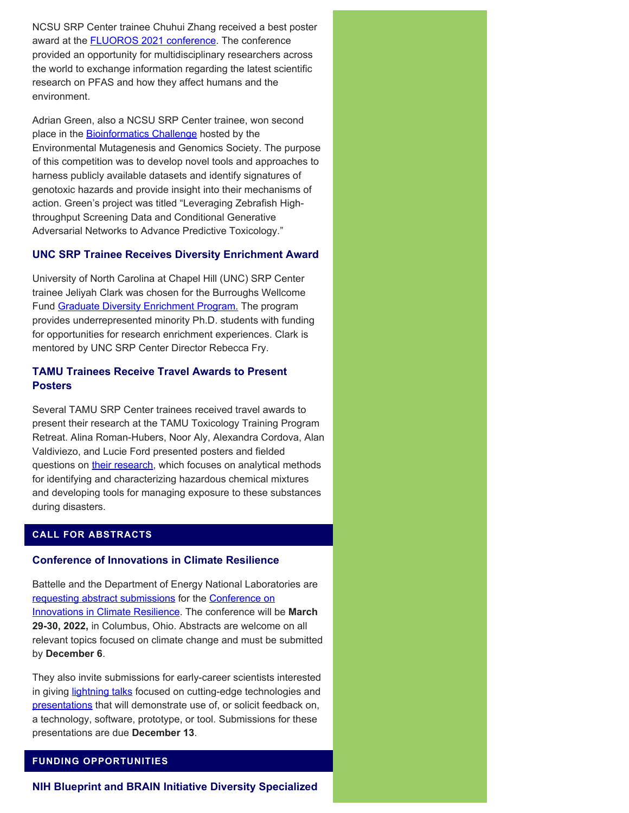NCSU SRP Center trainee Chuhui Zhang received a best poster award at the **[FLUOROS 2021 conference](https://web.uri.edu/fluoros/about/)**. The conference provided an opportunity for multidisciplinary researchers across the world to exchange information regarding the latest scientific research on PFAS and how they affect humans and the environment.

Adrian Green, also a NCSU SRP Center trainee, won second place in the **Bioinformatics Challenge** hosted by the Environmental Mutagenesis and Genomics Society. The purpose of this competition was to develop novel tools and approaches to harness publicly available datasets and identify signatures of genotoxic hazards and provide insight into their mechanisms of action. Green's project was titled "Leveraging Zebrafish Highthroughput Screening Data and Conditional Generative Adversarial Networks to Advance Predictive Toxicology."

# **UNC SRP Trainee Receives Diversity Enrichment Award**

University of North Carolina at Chapel Hill (UNC) SRP Center trainee Jeliyah Clark was chosen for the Burroughs Wellcome Fund [Graduate Diversity Enrichment Program.](https://www.bwfund.org/news/bwf-recognizes-outstanding-north-carolina-stem-scholars/) The program provides underrepresented minority Ph.D. students with funding for opportunities for research enrichment experiences. Clark is mentored by UNC SRP Center Director Rebecca Fry.

# **TAMU Trainees Receive Travel Awards to Present Posters**

Several TAMU SRP Center trainees received travel awards to present their research at the TAMU Toxicology Training Program Retreat. Alina Roman-Hubers, Noor Aly, Alexandra Cordova, Alan Valdiviezo, and Lucie Ford presented posters and fielded questions on [their research](https://superfund.tamu.edu/about-us/meet-our-trainees/), which focuses on analytical methods for identifying and characterizing hazardous chemical mixtures and developing tools for managing exposure to these substances during disasters.

# **CALL FOR ABSTRACTS**

## **Conference of Innovations in Climate Resilience**

Battelle and the Department of Energy National Laboratories are [requesting abstract submissions](https://www.battelle.org/docs/default-source/conferences/climate-resilience/2022climate_cfa-final.pdf?utm_term=Call%20for%20Abstracts&utm_campaign=Climate%20Conference&utm_content=2022%20Climate%20Conference%20Abstract%20Reminder&utm_source=Act-On%20&utm_medium=Email&cm_mmc=Act-On%20Software-_-email-_-%28Deadline%29%20Abstracts%20Due%20This%20Monday%2C%20Dec.%206th-_-Call%20for%20Abstracts) for the [Conference on](https://info.battelle.org/acton/ct/43972/s-0243-2112/Bct/l-02b2/l-02b2:1f7/ct2_1/1/lu?sid=TV2%3AMtdkpisfi) [Innovations in Climate Resilience](https://info.battelle.org/acton/ct/43972/s-0243-2112/Bct/l-02b2/l-02b2:1f7/ct2_1/1/lu?sid=TV2%3AMtdkpisfi). The conference will be **March 29-30, 2022,** in Columbus, Ohio. Abstracts are welcome on all relevant topics focused on climate change and must be submitted by **December 6**.

They also invite submissions for early-career scientists interested in giving [lightning talks](https://info.battelle.org/acton/ct/43972/s-0243-2112/Bct/l-02b2/l-02b2:1f7/ct5_0/1/lu?sid=TV2%3AMtdkpisfi) focused on cutting-edge technologies and [presentations](https://info.battelle.org/acton/ct/43972/s-0243-2112/Bct/l-02b2/l-02b2:1f7/ct6_0/1/lu?sid=TV2%3AMtdkpisfi) that will demonstrate use of, or solicit feedback on, a technology, software, prototype, or tool. Submissions for these presentations are due **December 13**.

# **FUNDING OPPORTUNITIES**

**NIH Blueprint and BRAIN Initiative Diversity Specialized**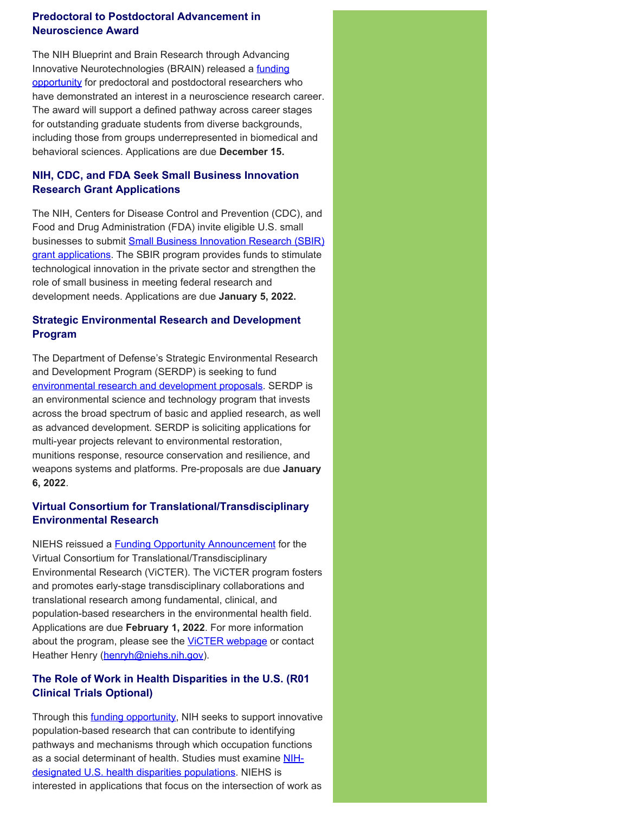# **Predoctoral to Postdoctoral Advancement in Neuroscience Award**

The NIH Blueprint and Brain Research through Advancing Innovative Neurotechnologies (BRAIN) released a [funding](https://grants.nih.gov/grants/guide/rfa-files/RFA-NS-21-012.html) [opportunity](https://grants.nih.gov/grants/guide/rfa-files/RFA-NS-21-012.html) for predoctoral and postdoctoral researchers who have demonstrated an interest in a neuroscience research career. The award will support a defined pathway across career stages for outstanding graduate students from diverse backgrounds, including those from groups underrepresented in biomedical and behavioral sciences. Applications are due **December 15.**

# **NIH, CDC, and FDA Seek Small Business Innovation Research Grant Applications**

The NIH, Centers for Disease Control and Prevention (CDC), and Food and Drug Administration (FDA) invite eligible U.S. small businesses to submit **Small Business Innovation Research (SBIR)** [grant applications.](https://grants.nih.gov/grants/guide/pa-files/PA-21-259.html) The SBIR program provides funds to stimulate technological innovation in the private sector and strengthen the role of small business in meeting federal research and development needs. Applications are due **January 5, 2022.**

# **Strategic Environmental Research and Development Program**

The Department of Defense's Strategic Environmental Research and Development Program (SERDP) is seeking to fund [environmental research and development proposals.](https://www.serdp-estcp.org/Funding-Opportunities/SERDP-Solicitations) SERDP is an environmental science and technology program that invests across the broad spectrum of basic and applied research, as well as advanced development. SERDP is soliciting applications for multi-year projects relevant to environmental restoration, munitions response, resource conservation and resilience, and weapons systems and platforms. Pre-proposals are due **January 6, 2022**.

# **Virtual Consortium for Translational/Transdisciplinary Environmental Research**

NIEHS reissued a **Funding Opportunity Announcement** for the Virtual Consortium for Translational/Transdisciplinary Environmental Research (ViCTER). The ViCTER program fosters and promotes early-stage transdisciplinary collaborations and translational research among fundamental, clinical, and population-based researchers in the environmental health field. Applications are due **February 1, 2022**. For more information about the program, please see the **VICTER webpage** or contact Heather Henry ([henryh@niehs.nih.gov](mailto:henryh@niehs.nih.gov)).

# **The Role of Work in Health Disparities in the U.S. (R01 Clinical Trials Optional)**

Through this **funding opportunity**, NIH seeks to support innovative population-based research that can contribute to identifying pathways and mechanisms through which occupation functions as a social determinant of health. Studies must examine [NIH](https://www.nimhd.nih.gov/about/overview/)[designated U.S. health disparities populations](https://www.nimhd.nih.gov/about/overview/). NIEHS is interested in applications that focus on the intersection of work as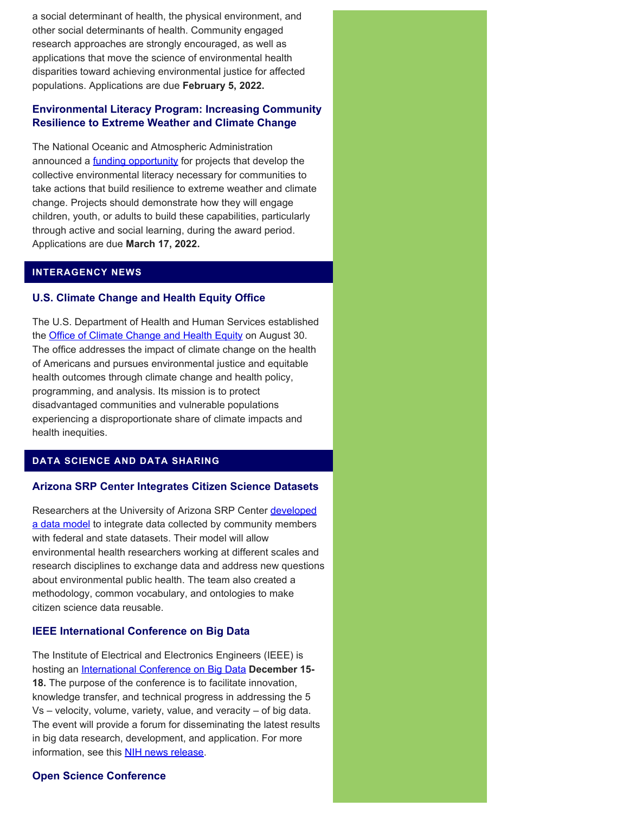a social determinant of health, the physical environment, and other social determinants of health. Community engaged research approaches are strongly encouraged, as well as applications that move the science of environmental health disparities toward achieving environmental justice for affected populations. Applications are due **February 5, 2022.**

# **Environmental Literacy Program: Increasing Community Resilience to Extreme Weather and Climate Change**

The National Oceanic and Atmospheric Administration announced a **funding opportunity** for projects that develop the collective environmental literacy necessary for communities to take actions that build resilience to extreme weather and climate change. Projects should demonstrate how they will engage children, youth, or adults to build these capabilities, particularly through active and social learning, during the award period. Applications are due **March 17, 2022.**

# **INTERAGENCY NEWS**

# **U.S. Climate Change and Health Equity Office**

The U.S. Department of Health and Human Services established the **Office of Climate Change and Health Equity** on August 30. The office addresses the impact of climate change on the health of Americans and pursues environmental justice and equitable health outcomes through climate change and health policy, programming, and analysis. Its mission is to protect disadvantaged communities and vulnerable populations experiencing a disproportionate share of climate impacts and health inequities.

# **DATA SCIENCE AND DATA SHARING**

# **Arizona SRP Center Integrates Citizen Science Datasets**

Researchers at the University of Arizona SRP Center [developed](https://www.frontiersin.org/articles/10.3389/fsufs.2021.620470/full) [a data model](https://www.frontiersin.org/articles/10.3389/fsufs.2021.620470/full) to integrate data collected by community members with federal and state datasets. Their model will allow environmental health researchers working at different scales and research disciplines to exchange data and address new questions about environmental public health. The team also created a methodology, common vocabulary, and ontologies to make citizen science data reusable.

# **IEEE International Conference on Big Data**

The Institute of Electrical and Electronics Engineers (IEEE) is hosting an [International Conference on Big Data](https://bigdataieee.org/BigData2021/) **December 15- 18.** The purpose of the conference is to facilitate innovation, knowledge transfer, and technical progress in addressing the 5 Vs – velocity, volume, variety, value, and veracity – of big data. The event will provide a forum for disseminating the latest results in big data research, development, and application. For more information, see this **NIH news release**.

# **Open Science Conference**